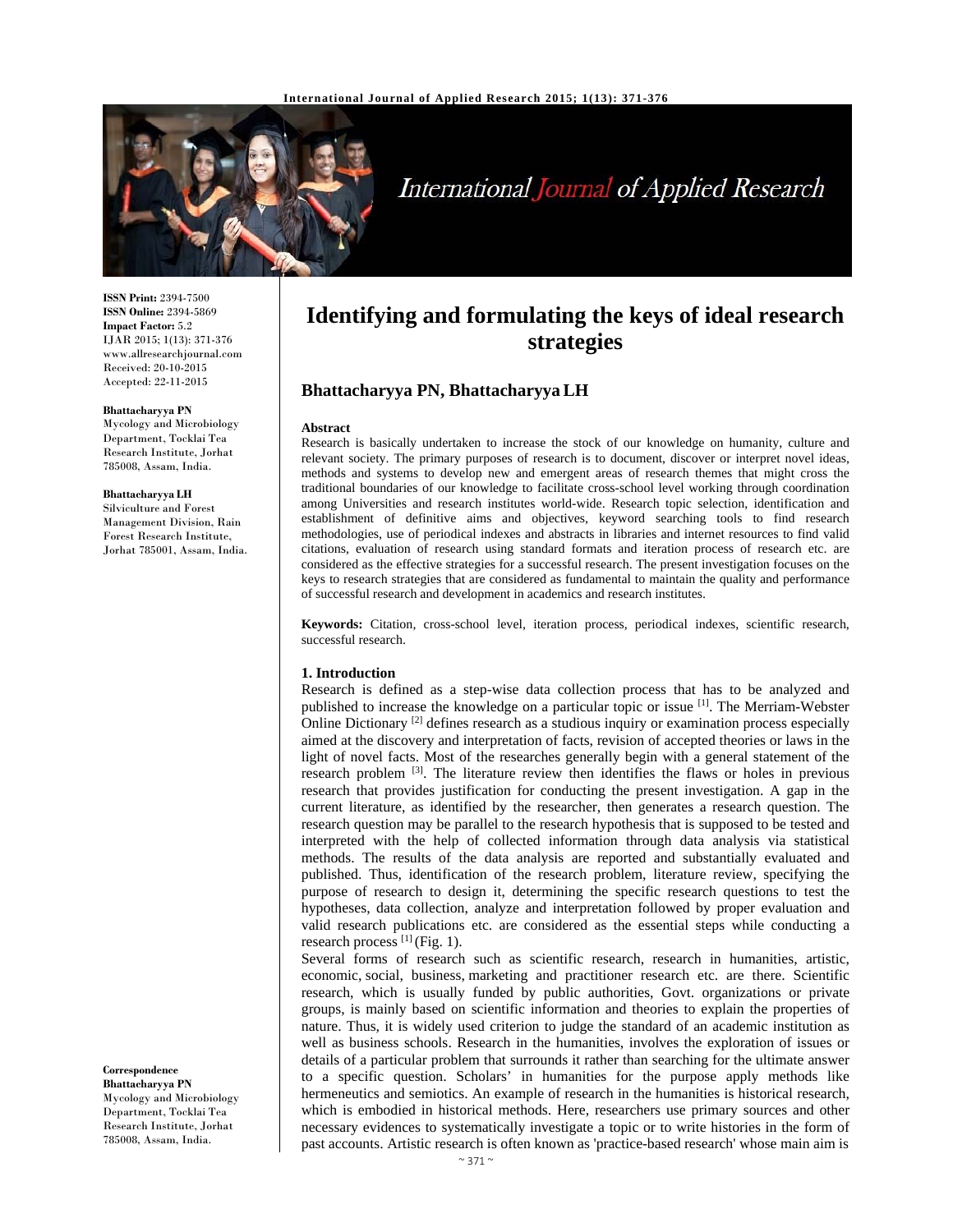

# International Journal of Applied Research

**ISSN Print:** 2394-7500 **ISSN Online:** 2394-5869 **Impact Factor:** 5.2 IJAR 2015; 1(13): 371-376 www.allresearchjournal.com Received: 20-10-2015 Accepted: 22-11-2015

**Bhattacharyya PN**  Mycology and Microbiology Department, Tocklai Tea Research Institute, Jorhat 785008, Assam, India.

**Bhattacharyya LH**  Silviculture and Forest Management Division, Rain Forest Research Institute, Jorhat 785001, Assam, India.

**Correspondence**

**Bhattacharyya PN**  Mycology and Microbiology Department, Tocklai Tea Research Institute, Jorhat 785008, Assam, India.

# **Identifying and formulating the keys of ideal research strategies**

## **Bhattacharyya PN, Bhattacharyya LH**

#### **Abstract**

Research is basically undertaken to increase the stock of our knowledge on humanity, culture and relevant society. The primary purposes of research is to document, discover or interpret novel ideas, methods and systems to develop new and emergent areas of research themes that might cross the traditional boundaries of our knowledge to facilitate cross-school level working through coordination among Universities and research institutes world-wide. Research topic selection, identification and establishment of definitive aims and objectives, keyword searching tools to find research methodologies, use of periodical indexes and abstracts in libraries and internet resources to find valid citations, evaluation of research using standard formats and iteration process of research etc. are considered as the effective strategies for a successful research. The present investigation focuses on the keys to research strategies that are considered as fundamental to maintain the quality and performance of successful research and development in academics and research institutes.

**Keywords:** Citation, cross-school level, iteration process, periodical indexes, scientific research, successful research.

#### **1. Introduction**

Research is defined as a step-wise data collection process that has to be analyzed and published to increase the knowledge on a particular topic or issue [1]. The Merriam-Webster Online Dictionary <sup>[2]</sup> defines research as a studious inquiry or examination process especially aimed at the discovery and interpretation of facts, revision of accepted theories or laws in the light of novel facts. Most of the researches generally begin with a general statement of the research problem  $[3]$ . The literature review then identifies the flaws or holes in previous research that provides justification for conducting the present investigation. A gap in the current literature, as identified by the researcher, then generates a research question. The research question may be parallel to the research hypothesis that is supposed to be tested and interpreted with the help of collected information through data analysis via statistical methods. The results of the data analysis are reported and substantially evaluated and published. Thus, identification of the research problem, literature review, specifying the purpose of research to design it, determining the specific research questions to test the hypotheses, data collection, analyze and interpretation followed by proper evaluation and valid research publications etc. are considered as the essential steps while conducting a research process  $^{[1]}$  (Fig. 1).

Several forms of research such as scientific research, research in humanities, artistic, economic, social, business, marketing and practitioner research etc. are there. Scientific research, which is usually funded by public authorities, Govt. organizations or private groups, is mainly based on scientific information and theories to explain the properties of nature. Thus, it is widely used criterion to judge the standard of an academic institution as well as business schools. Research in the humanities, involves the exploration of issues or details of a particular problem that surrounds it rather than searching for the ultimate answer to a specific question. Scholars' in humanities for the purpose apply methods like hermeneutics and semiotics. An example of research in the humanities is historical research, which is embodied in historical methods. Here, researchers use primary sources and other necessary evidences to systematically investigate a topic or to write histories in the form of past accounts. Artistic research is often known as 'practice-based research' whose main aim is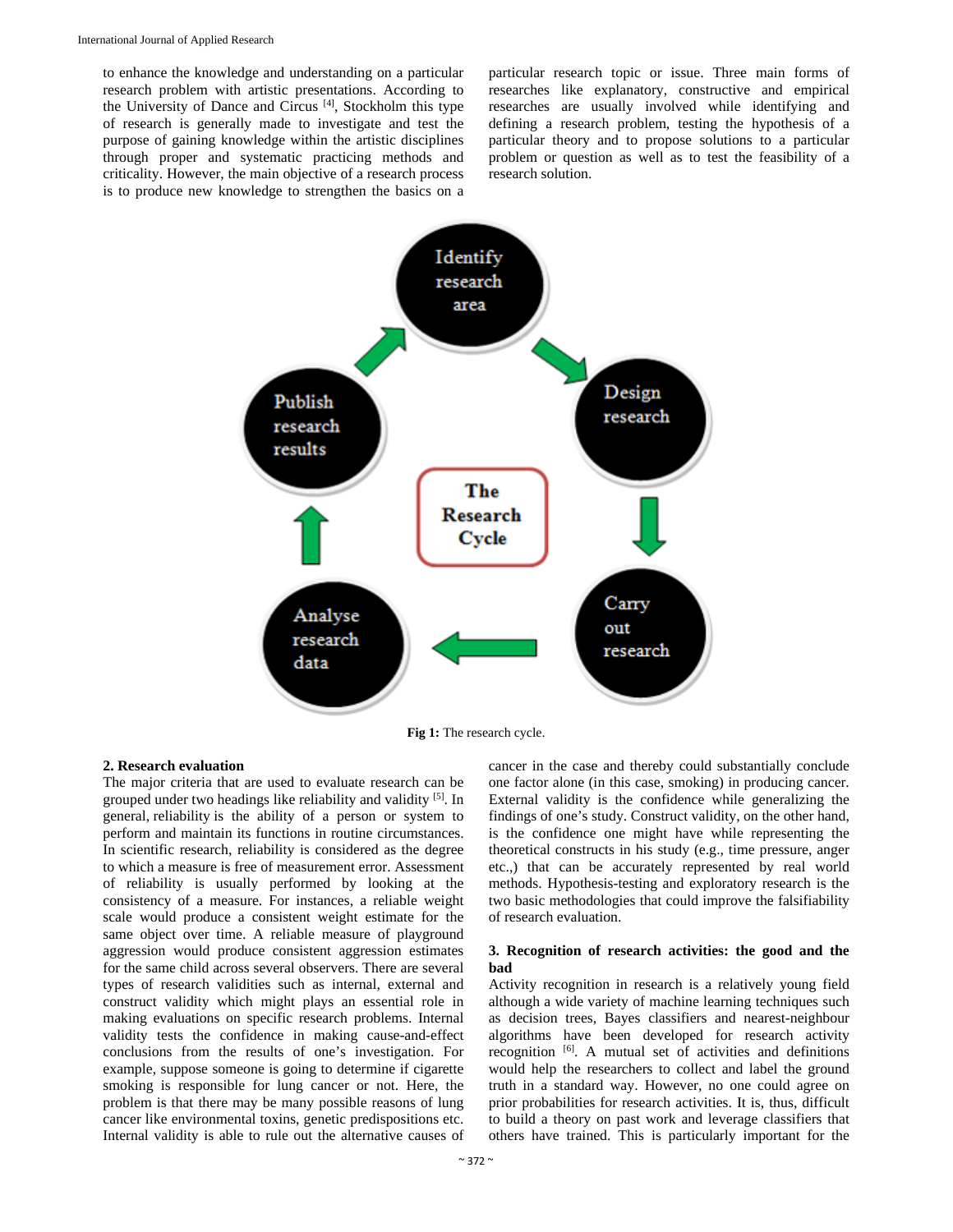to enhance the knowledge and understanding on a particular research problem with artistic presentations. According to the University of Dance and Circus [4], Stockholm this type of research is generally made to investigate and test the purpose of gaining knowledge within the artistic disciplines through proper and systematic practicing methods and criticality. However, the main objective of a research process is to produce new knowledge to strengthen the basics on a

particular research topic or issue. Three main forms of researches like explanatory, constructive and empirical researches are usually involved while identifying and defining a research problem, testing the hypothesis of a particular theory and to propose solutions to a particular problem or question as well as to test the feasibility of a research solution.



**Fig 1:** The research cycle.

#### **2. Research evaluation**

The major criteria that are used to evaluate research can be grouped under two headings like reliability and validity [5]. In general, reliability is the ability of a person or system to perform and maintain its functions in routine circumstances. In scientific research, reliability is considered as the degree to which a measure is free of measurement error. Assessment of reliability is usually performed by looking at the consistency of a measure. For instances, a reliable weight scale would produce a consistent weight estimate for the same object over time. A reliable measure of playground aggression would produce consistent aggression estimates for the same child across several observers. There are several types of research validities such as internal, external and construct validity which might plays an essential role in making evaluations on specific research problems. Internal validity tests the confidence in making cause-and-effect conclusions from the results of one's investigation. For example, suppose someone is going to determine if cigarette smoking is responsible for lung cancer or not. Here, the problem is that there may be many possible reasons of lung cancer like environmental toxins, genetic predispositions etc. Internal validity is able to rule out the alternative causes of

cancer in the case and thereby could substantially conclude one factor alone (in this case, smoking) in producing cancer. External validity is the confidence while generalizing the findings of one's study. Construct validity, on the other hand, is the confidence one might have while representing the theoretical constructs in his study (e.g., time pressure, anger etc.,) that can be accurately represented by real world methods. Hypothesis-testing and exploratory research is the two basic methodologies that could improve the falsifiability of research evaluation.

### **3. Recognition of research activities: the good and the bad**

Activity recognition in research is a relatively young field although a wide variety of machine learning techniques such as decision trees, Bayes classifiers and nearest-neighbour algorithms have been developed for research activity recognition [6]. A mutual set of activities and definitions would help the researchers to collect and label the ground truth in a standard way. However, no one could agree on prior probabilities for research activities. It is, thus, difficult to build a theory on past work and leverage classifiers that others have trained. This is particularly important for the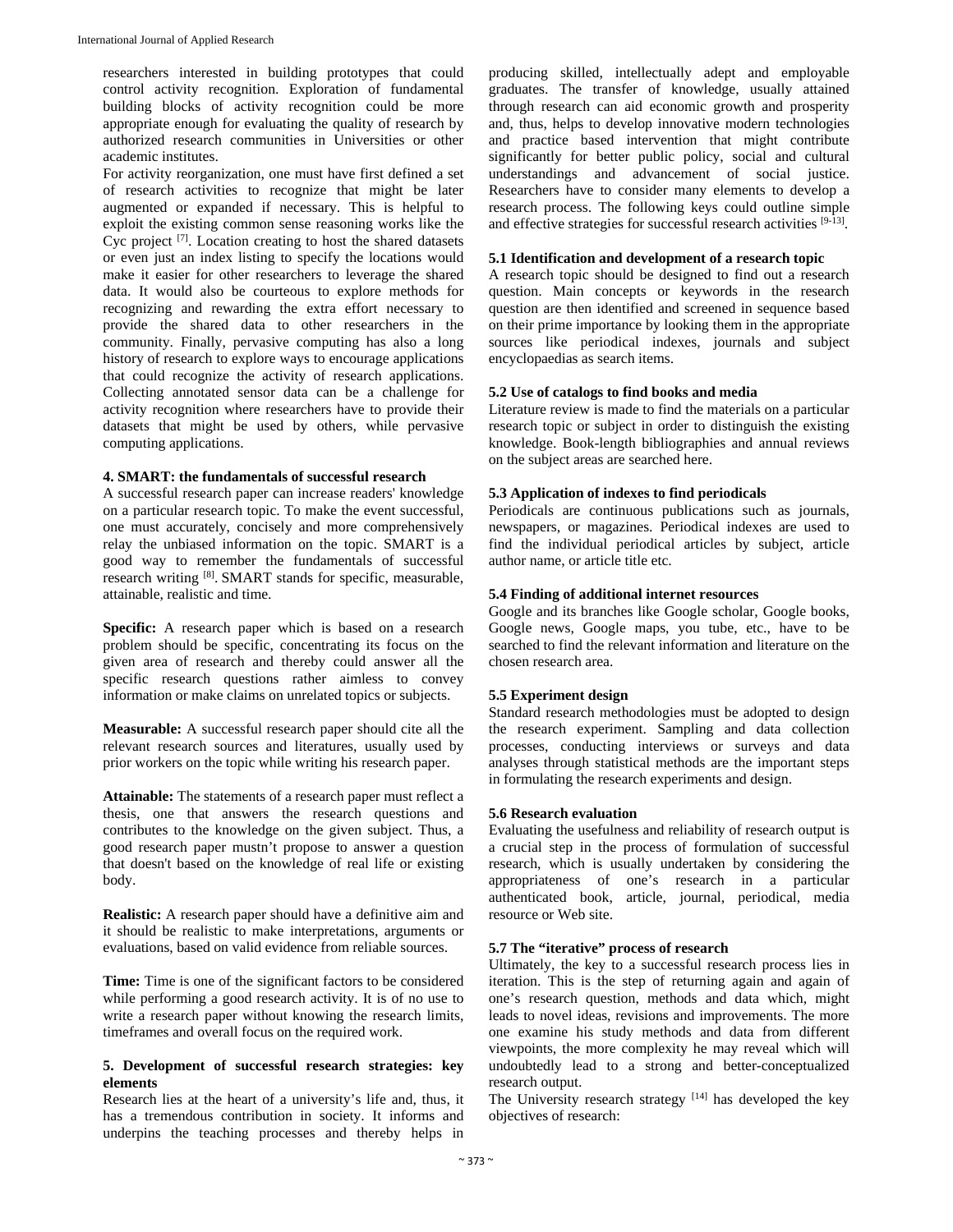researchers interested in building prototypes that could control activity recognition. Exploration of fundamental building blocks of activity recognition could be more appropriate enough for evaluating the quality of research by authorized research communities in Universities or other academic institutes.

For activity reorganization, one must have first defined a set of research activities to recognize that might be later augmented or expanded if necessary. This is helpful to exploit the existing common sense reasoning works like the Cyc project  $[7]$ . Location creating to host the shared datasets or even just an index listing to specify the locations would make it easier for other researchers to leverage the shared data. It would also be courteous to explore methods for recognizing and rewarding the extra effort necessary to provide the shared data to other researchers in the community. Finally, pervasive computing has also a long history of research to explore ways to encourage applications that could recognize the activity of research applications. Collecting annotated sensor data can be a challenge for activity recognition where researchers have to provide their datasets that might be used by others, while pervasive computing applications.

#### **4. SMART: the fundamentals of successful research**

A successful research paper can increase readers' knowledge on a particular research topic. To make the event successful, one must accurately, concisely and more comprehensively relay the unbiased information on the topic. SMART is a good way to remember the fundamentals of successful research writing [8]. SMART stands for specific, measurable, attainable, realistic and time.

**Specific:** A research paper which is based on a research problem should be specific, concentrating its focus on the given area of research and thereby could answer all the specific research questions rather aimless to convey information or make claims on unrelated topics or subjects.

**Measurable:** A successful research paper should cite all the relevant research sources and literatures, usually used by prior workers on the topic while writing his research paper.

**Attainable:** The statements of a research paper must reflect a thesis, one that answers the research questions and contributes to the knowledge on the given subject. Thus, a good research paper mustn't propose to answer a question that doesn't based on the knowledge of real life or existing body.

**Realistic:** A research paper should have a definitive aim and it should be realistic to make interpretations, arguments or evaluations, based on valid evidence from reliable sources.

**Time:** Time is one of the significant factors to be considered while performing a good research activity. It is of no use to write a research paper without knowing the research limits, timeframes and overall focus on the required work.

#### **5. Development of successful research strategies: key elements**

Research lies at the heart of a university's life and, thus, it has a tremendous contribution in society. It informs and underpins the teaching processes and thereby helps in producing skilled, intellectually adept and employable graduates. The transfer of knowledge, usually attained through research can aid economic growth and prosperity and, thus, helps to develop innovative modern technologies and practice based intervention that might contribute significantly for better public policy, social and cultural understandings and advancement of social justice. Researchers have to consider many elements to develop a research process. The following keys could outline simple and effective strategies for successful research activities [9-13].

#### **5.1 Identification and development of a research topic**

A research topic should be designed to find out a research question. Main concepts or keywords in the research question are then identified and screened in sequence based on their prime importance by looking them in the appropriate sources like periodical indexes, journals and subject encyclopaedias as search items.

#### **5.2 Use of catalogs to find books and media**

Literature review is made to find the materials on a particular research topic or subject in order to distinguish the existing knowledge. Book-length bibliographies and annual reviews on the subject areas are searched here.

### **5.3 Application of indexes to find periodicals**

Periodicals are continuous publications such as journals, newspapers, or magazines. Periodical indexes are used to find the individual periodical articles by subject, article author name, or article title etc.

#### **5.4 Finding of additional internet resources**

Google and its branches like Google scholar, Google books, Google news, Google maps, you tube, etc., have to be searched to find the relevant information and literature on the chosen research area.

## **5.5 Experiment design**

Standard research methodologies must be adopted to design the research experiment. Sampling and data collection processes, conducting interviews or surveys and data analyses through statistical methods are the important steps in formulating the research experiments and design.

#### **5.6 Research evaluation**

Evaluating the usefulness and reliability of research output is a crucial step in the process of formulation of successful research, which is usually undertaken by considering the appropriateness of one's research in a particular authenticated book, article, journal, periodical, media resource or Web site.

#### **5.7 The "iterative" process of research**

Ultimately, the key to a successful research process lies in iteration. This is the step of returning again and again of one's research question, methods and data which, might leads to novel ideas, revisions and improvements. The more one examine his study methods and data from different viewpoints, the more complexity he may reveal which will undoubtedly lead to a strong and better-conceptualized research output.

The University research strategy  $[14]$  has developed the key objectives of research: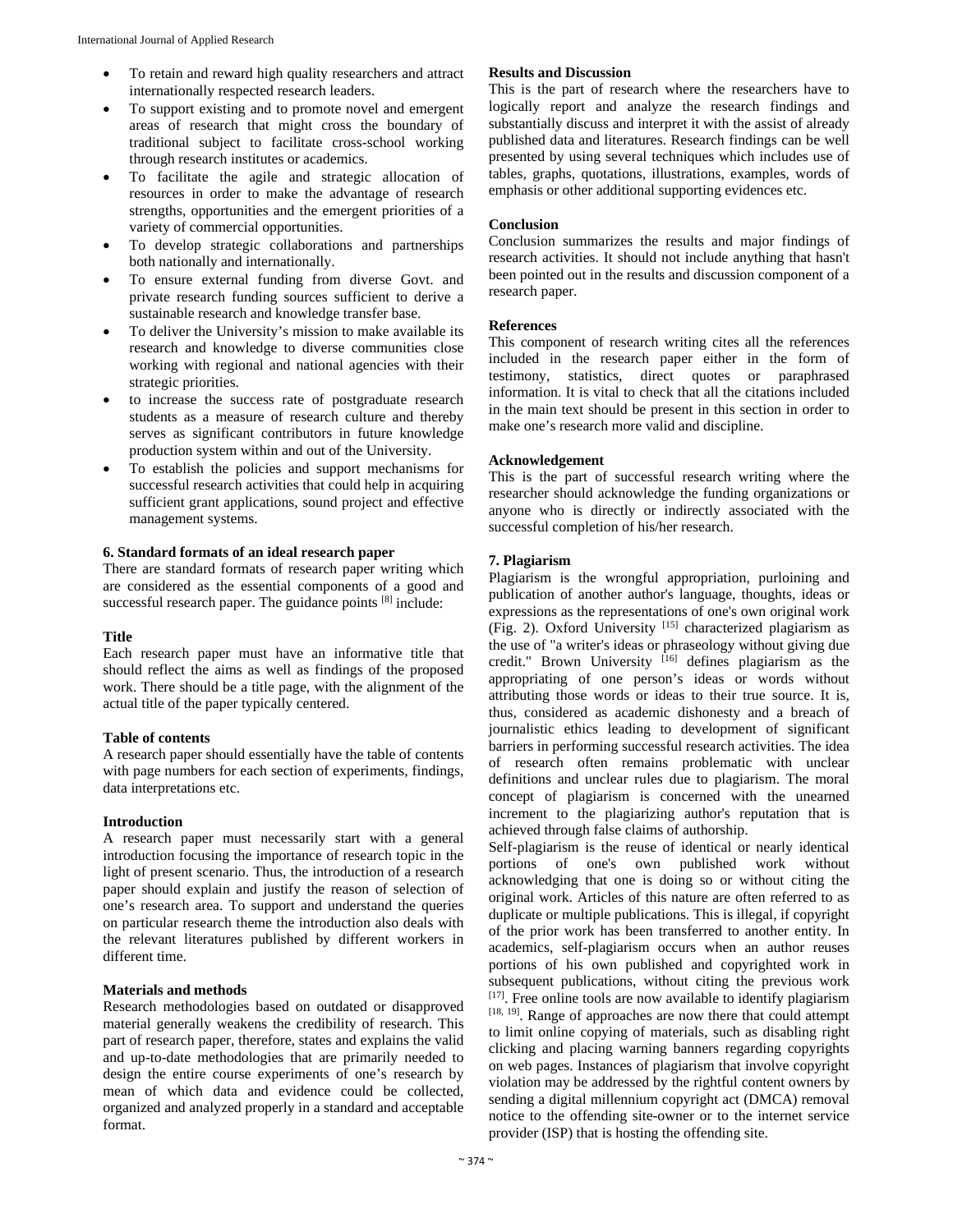- To retain and reward high quality researchers and attract internationally respected research leaders.
- To support existing and to promote novel and emergent areas of research that might cross the boundary of traditional subject to facilitate cross-school working through research institutes or academics.
- To facilitate the agile and strategic allocation of resources in order to make the advantage of research strengths, opportunities and the emergent priorities of a variety of commercial opportunities.
- To develop strategic collaborations and partnerships both nationally and internationally.
- To ensure external funding from diverse Govt. and private research funding sources sufficient to derive a sustainable research and knowledge transfer base.
- To deliver the University's mission to make available its research and knowledge to diverse communities close working with regional and national agencies with their strategic priorities.
- to increase the success rate of postgraduate research students as a measure of research culture and thereby serves as significant contributors in future knowledge production system within and out of the University.
- To establish the policies and support mechanisms for successful research activities that could help in acquiring sufficient grant applications, sound project and effective management systems.

## **6. Standard formats of an ideal research paper**

There are standard formats of research paper writing which are considered as the essential components of a good and successful research paper. The guidance points <sup>[8]</sup> include:

## **Title**

Each research paper must have an informative title that should reflect the aims as well as findings of the proposed work. There should be a title page, with the alignment of the actual title of the paper typically centered.

## **Table of contents**

A research paper should essentially have the table of contents with page numbers for each section of experiments, findings, data interpretations etc.

## **Introduction**

A research paper must necessarily start with a general introduction focusing the importance of research topic in the light of present scenario. Thus, the introduction of a research paper should explain and justify the reason of selection of one's research area. To support and understand the queries on particular research theme the introduction also deals with the relevant literatures published by different workers in different time.

## **Materials and methods**

Research methodologies based on outdated or disapproved material generally weakens the credibility of research. This part of research paper, therefore, states and explains the valid and up-to-date methodologies that are primarily needed to design the entire course experiments of one's research by mean of which data and evidence could be collected, organized and analyzed properly in a standard and acceptable format.

## **Results and Discussion**

This is the part of research where the researchers have to logically report and analyze the research findings and substantially discuss and interpret it with the assist of already published data and literatures. Research findings can be well presented by using several techniques which includes use of tables, graphs, quotations, illustrations, examples, words of emphasis or other additional supporting evidences etc.

## **Conclusion**

Conclusion summarizes the results and major findings of research activities. It should not include anything that hasn't been pointed out in the results and discussion component of a research paper.

## **References**

This component of research writing cites all the references included in the research paper either in the form of testimony, statistics, direct quotes or paraphrased information. It is vital to check that all the citations included in the main text should be present in this section in order to make one's research more valid and discipline.

## **Acknowledgement**

This is the part of successful research writing where the researcher should acknowledge the funding organizations or anyone who is directly or indirectly associated with the successful completion of his/her research.

## **7. Plagiarism**

Plagiarism is the wrongful appropriation, purloining and publication of another author's language, thoughts, ideas or expressions as the representations of one's own original work (Fig. 2). Oxford University [15] characterized plagiarism as the use of "a writer's ideas or phraseology without giving due credit." Brown University  $^{[16]}$  defines plagiarism as the appropriating of one person's ideas or words without attributing those words or ideas to their true source. It is, thus, considered as academic dishonesty and a breach of journalistic ethics leading to development of significant barriers in performing successful research activities. The idea of research often remains problematic with unclear definitions and unclear rules due to plagiarism. The moral concept of plagiarism is concerned with the unearned increment to the plagiarizing author's reputation that is achieved through false claims of authorship.

Self-plagiarism is the reuse of identical or nearly identical portions of one's own published work without acknowledging that one is doing so or without citing the original work. Articles of this nature are often referred to as duplicate or multiple publications. This is illegal, if copyright of the prior work has been transferred to another entity. In academics, self-plagiarism occurs when an author reuses portions of his own published and copyrighted work in subsequent publications, without citing the previous work  $[17]$ . Free online tools are now available to identify plagiarism [18, 19]. Range of approaches are now there that could attempt to limit online copying of materials, such as disabling right clicking and placing warning banners regarding copyrights on web pages. Instances of plagiarism that involve copyright violation may be addressed by the rightful content owners by sending a digital millennium copyright act (DMCA) removal notice to the offending site-owner or to the internet service provider (ISP) that is hosting the offending site.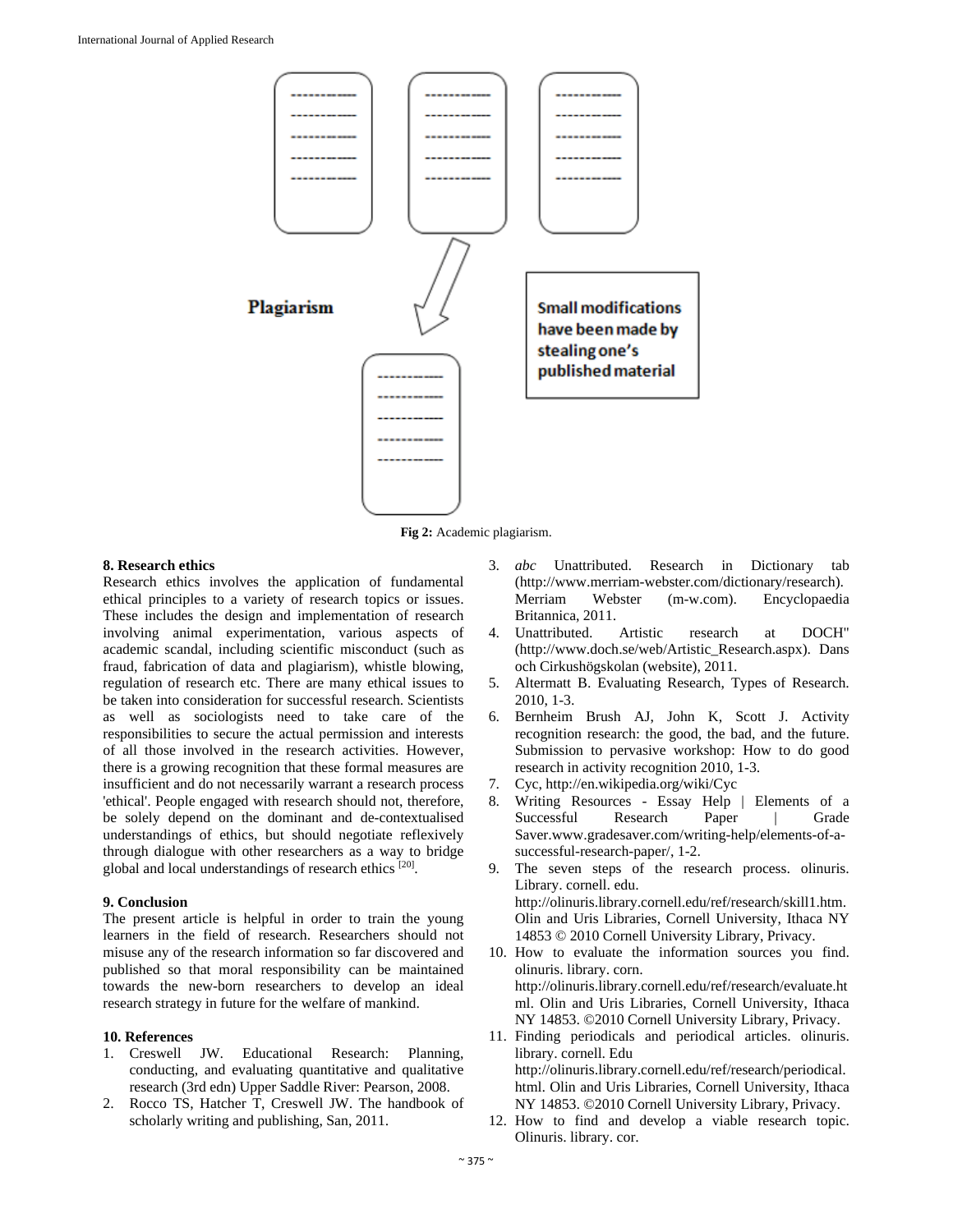

**Fig 2:** Academic plagiarism.

#### **8. Research ethics**

Research ethics involves the application of fundamental ethical principles to a variety of research topics or issues. These includes the design and implementation of research involving animal experimentation, various aspects of academic scandal, including scientific misconduct (such as fraud, fabrication of data and plagiarism), whistle blowing, regulation of research etc. There are many ethical issues to be taken into consideration for successful research. Scientists as well as sociologists need to take care of the responsibilities to secure the actual permission and interests of all those involved in the research activities. However, there is a growing recognition that these formal measures are insufficient and do not necessarily warrant a research process 'ethical'. People engaged with research should not, therefore, be solely depend on the dominant and de-contextualised understandings of ethics, but should negotiate reflexively through dialogue with other researchers as a way to bridge global and local understandings of research ethics [20].

### **9. Conclusion**

The present article is helpful in order to train the young learners in the field of research. Researchers should not misuse any of the research information so far discovered and published so that moral responsibility can be maintained towards the new-born researchers to develop an ideal research strategy in future for the welfare of mankind.

## **10. References**

- 1. Creswell JW. Educational Research: Planning, conducting, and evaluating quantitative and qualitative research (3rd edn) Upper Saddle River: Pearson, 2008.
- 2. Rocco TS, Hatcher T, Creswell JW. The handbook of scholarly writing and publishing, San, 2011.
- 3. *abc* Unattributed. Research in Dictionary tab (http://www.merriam-webster.com/dictionary/research). Merriam Webster (m-w.com). Encyclopaedia Britannica, 2011.
- 4. Unattributed. Artistic research at DOCH" (http://www.doch.se/web/Artistic\_Research.aspx). Dans och Cirkushögskolan (website), 2011.
- 5. Altermatt B. Evaluating Research, Types of Research. 2010, 1-3.
- 6. Bernheim Brush AJ, John K, Scott J. Activity recognition research: the good, the bad, and the future. Submission to pervasive workshop: How to do good research in activity recognition 2010, 1-3.
- 7. Cyc, http://en.wikipedia.org/wiki/Cyc
- 8. Writing Resources Essay Help | Elements of a Successful Research Paper | Grade Saver.www.gradesaver.com/writing-help/elements-of-asuccessful-research-paper/, 1-2.
- 9. The seven steps of the research process. olinuris. Library. cornell. edu. http://olinuris.library.cornell.edu/ref/research/skill1.htm. Olin and Uris Libraries, Cornell University, Ithaca NY 14853 © 2010 Cornell University Library, Privacy.
- 10. How to evaluate the information sources you find. olinuris. library. corn. http://olinuris.library.cornell.edu/ref/research/evaluate.ht ml. Olin and Uris Libraries, Cornell University, Ithaca NY 14853. ©2010 Cornell University Library, Privacy.
- 11. Finding periodicals and periodical articles. olinuris. library. cornell. Edu http://olinuris.library.cornell.edu/ref/research/periodical. html. Olin and Uris Libraries, Cornell University, Ithaca NY 14853. ©2010 Cornell University Library, Privacy.
- 12. How to find and develop a viable research topic. Olinuris. library. cor.